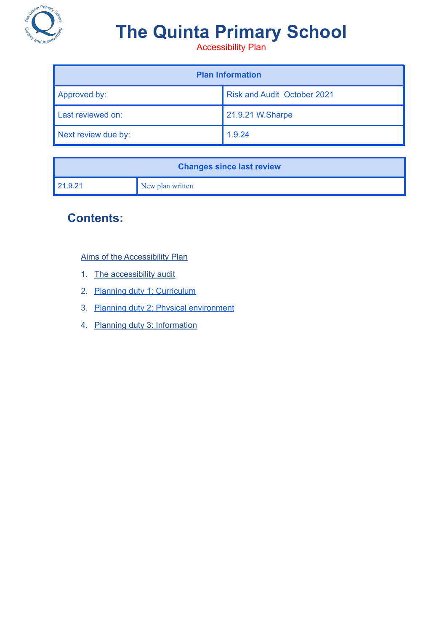

# **The Quinta Primary School**

Accessibility Plan

| <b>Plan Information</b> |                                    |  |  |
|-------------------------|------------------------------------|--|--|
| Approved by:            | <b>Risk and Audit October 2021</b> |  |  |
| Last reviewed on:       | 21.9.21 W.Sharpe                   |  |  |
| Next review due by:     | 1.9.24                             |  |  |

| <b>Changes since last review</b> |                  |  |
|----------------------------------|------------------|--|
| l 21.9.21                        | New plan written |  |

## **Contents:**

Aims of the [Accessibility](#page-1-0) Plan

- 1. The [accessibility](#page-2-0) audit
- 2. Planning duty 1: [Curriculum](#page-3-0)
- 3. Planning duty 2: Physical [environment](#page-4-0)
- 4. Planning duty 3: [Information](#page-5-0)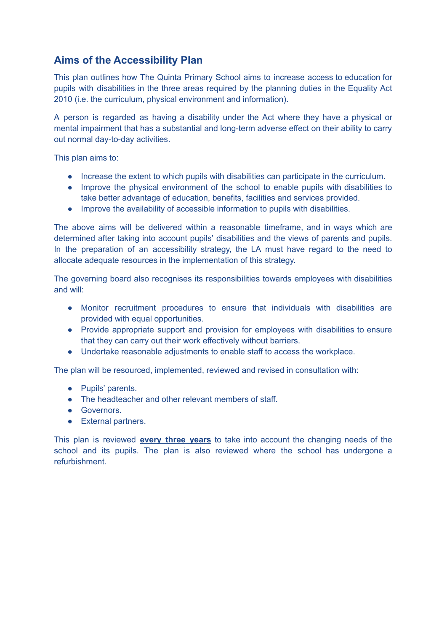#### <span id="page-1-0"></span>**Aims of the Accessibility Plan**

This plan outlines how The Quinta Primary School aims to increase access to education for pupils with disabilities in the three areas required by the planning duties in the Equality Act 2010 (i.e. the curriculum, physical environment and information).

A person is regarded as having a disability under the Act where they have a physical or mental impairment that has a substantial and long-term adverse effect on their ability to carry out normal day-to-day activities.

This plan aims to:

- Increase the extent to which pupils with disabilities can participate in the curriculum.
- Improve the physical environment of the school to enable pupils with disabilities to take better advantage of education, benefits, facilities and services provided.
- Improve the availability of accessible information to pupils with disabilities.

The above aims will be delivered within a reasonable timeframe, and in ways which are determined after taking into account pupils' disabilities and the views of parents and pupils. In the preparation of an accessibility strategy, the LA must have regard to the need to allocate adequate resources in the implementation of this strategy.

The governing board also recognises its responsibilities towards employees with disabilities and will:

- Monitor recruitment procedures to ensure that individuals with disabilities are provided with equal opportunities.
- Provide appropriate support and provision for employees with disabilities to ensure that they can carry out their work effectively without barriers.
- Undertake reasonable adjustments to enable staff to access the workplace.

The plan will be resourced, implemented, reviewed and revised in consultation with:

- Pupils' parents.
- The headteacher and other relevant members of staff.
- Governors.
- External partners.

This plan is reviewed **every three years** to take into account the changing needs of the school and its pupils. The plan is also reviewed where the school has undergone a refurbishment.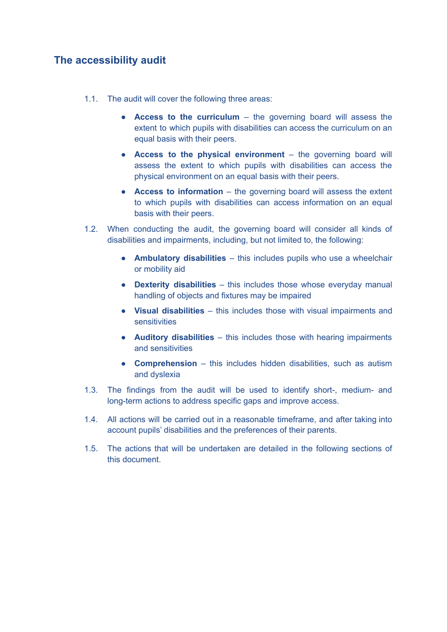#### <span id="page-2-0"></span>**The accessibility audit**

- 1.1. The audit will cover the following three areas:
	- **Access to the curriculum** the governing board will assess the extent to which pupils with disabilities can access the curriculum on an equal basis with their peers.
	- **Access to the physical environment** the governing board will assess the extent to which pupils with disabilities can access the physical environment on an equal basis with their peers.
	- **Access to information** the governing board will assess the extent to which pupils with disabilities can access information on an equal basis with their peers.
- 1.2. When conducting the audit, the governing board will consider all kinds of disabilities and impairments, including, but not limited to, the following:
	- **Ambulatory disabilities** this includes pupils who use a wheelchair or mobility aid
	- **Dexterity disabilities** this includes those whose everyday manual handling of objects and fixtures may be impaired
	- **Visual disabilities** this includes those with visual impairments and **sensitivities**
	- **Auditory disabilities** this includes those with hearing impairments and sensitivities
	- **Comprehension** this includes hidden disabilities, such as autism and dyslexia
- 1.3. The findings from the audit will be used to identify short-, medium- and long-term actions to address specific gaps and improve access.
- 1.4. All actions will be carried out in a reasonable timeframe, and after taking into account pupils' disabilities and the preferences of their parents.
- 1.5. The actions that will be undertaken are detailed in the following sections of this document.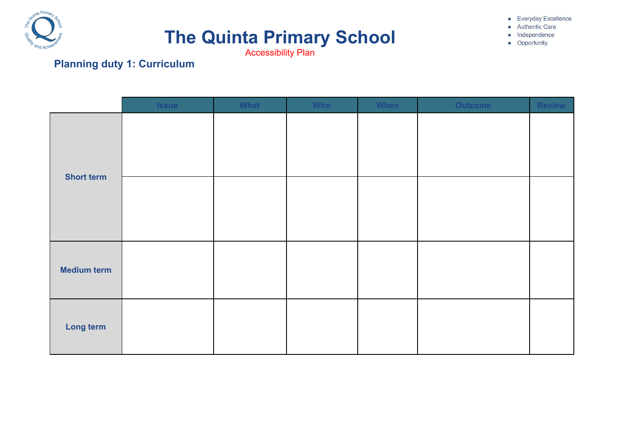

# **The Quinta Primary School**

• Everyday Excellence **Authentic Care** · Independence

• Opportunity

Accessibility Plan

# **Planning duty 1: Curriculum**

<span id="page-3-0"></span>

|                    | <b>Issue</b> | What | <b>Who</b> | When | <b>Outcome</b> | Review |
|--------------------|--------------|------|------------|------|----------------|--------|
| <b>Short term</b>  |              |      |            |      |                |        |
|                    |              |      |            |      |                |        |
| <b>Medium term</b> |              |      |            |      |                |        |
| Long term          |              |      |            |      |                |        |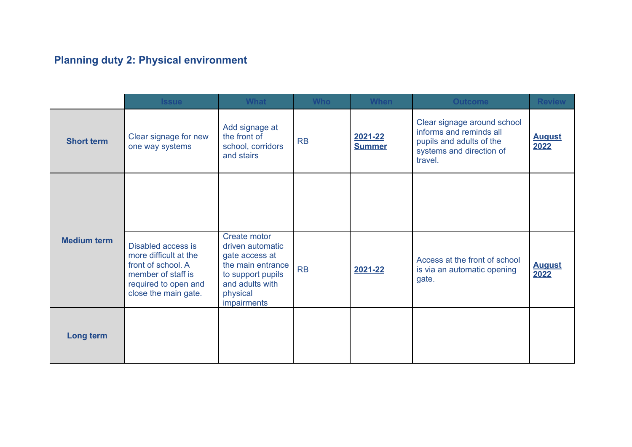# **Planning duty 2: Physical environment**

<span id="page-4-0"></span>

|                    | <b>Issue</b>                                                                                                                            | <b>What</b>                                                                                                                                | <b>Who</b> | <b>When</b>              | <b>Outcome</b>                                                                                                            | <b>Review</b>         |
|--------------------|-----------------------------------------------------------------------------------------------------------------------------------------|--------------------------------------------------------------------------------------------------------------------------------------------|------------|--------------------------|---------------------------------------------------------------------------------------------------------------------------|-----------------------|
| <b>Short term</b>  | Clear signage for new<br>one way systems                                                                                                | Add signage at<br>the front of<br>school, corridors<br>and stairs                                                                          | <b>RB</b>  | 2021-22<br><b>Summer</b> | Clear signage around school<br>informs and reminds all<br>pupils and adults of the<br>systems and direction of<br>travel. | <b>August</b><br>2022 |
|                    |                                                                                                                                         |                                                                                                                                            |            |                          |                                                                                                                           |                       |
| <b>Medium term</b> | Disabled access is<br>more difficult at the<br>front of school. A<br>member of staff is<br>required to open and<br>close the main gate. | Create motor<br>driven automatic<br>gate access at<br>the main entrance<br>to support pupils<br>and adults with<br>physical<br>impairments | <b>RB</b>  | 2021-22                  | Access at the front of school<br>is via an automatic opening<br>gate.                                                     | <b>August</b><br>2022 |
| Long term          |                                                                                                                                         |                                                                                                                                            |            |                          |                                                                                                                           |                       |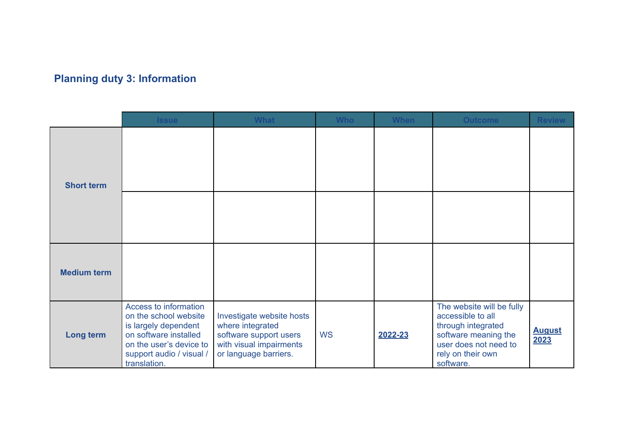# **Planning duty 3: Information**

<span id="page-5-0"></span>

|                    | <b>Issue</b>                                                                                                                                                           | <b>What</b>                                                                                                                 | <b>Who</b> | <b>When</b> | <b>Outcome</b>                                                                                                                                          | <b>Review</b>         |
|--------------------|------------------------------------------------------------------------------------------------------------------------------------------------------------------------|-----------------------------------------------------------------------------------------------------------------------------|------------|-------------|---------------------------------------------------------------------------------------------------------------------------------------------------------|-----------------------|
| <b>Short term</b>  |                                                                                                                                                                        |                                                                                                                             |            |             |                                                                                                                                                         |                       |
|                    |                                                                                                                                                                        |                                                                                                                             |            |             |                                                                                                                                                         |                       |
| <b>Medium term</b> |                                                                                                                                                                        |                                                                                                                             |            |             |                                                                                                                                                         |                       |
| Long term          | Access to information<br>on the school website<br>is largely dependent<br>on software installed<br>on the user's device to<br>support audio / visual /<br>translation. | Investigate website hosts<br>where integrated<br>software support users<br>with visual impairments<br>or language barriers. | <b>WS</b>  | 2022-23     | The website will be fully<br>accessible to all<br>through integrated<br>software meaning the<br>user does not need to<br>rely on their own<br>software. | <b>August</b><br>2023 |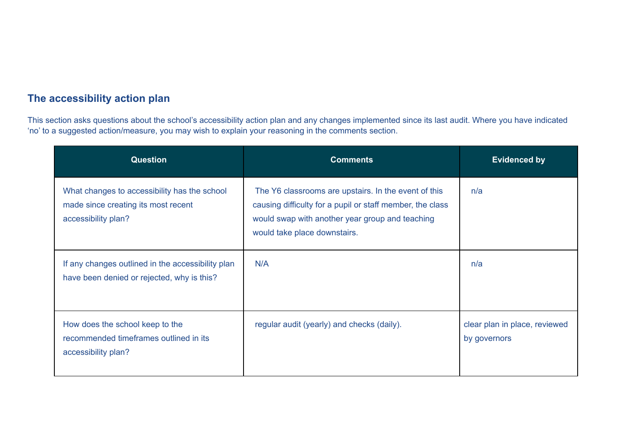#### **The accessibility action plan**

This section asks questions about the school's accessibility action plan and any changes implemented since its last audit. Where you have indicated 'no' to a suggested action/measure, you may wish to explain your reasoning in the comments section.

| <b>Question</b>                                                                                            | <b>Comments</b>                                                                                                                                                                                      | <b>Evidenced by</b>                           |
|------------------------------------------------------------------------------------------------------------|------------------------------------------------------------------------------------------------------------------------------------------------------------------------------------------------------|-----------------------------------------------|
| What changes to accessibility has the school<br>made since creating its most recent<br>accessibility plan? | The Y6 classrooms are upstairs. In the event of this<br>causing difficulty for a pupil or staff member, the class<br>would swap with another year group and teaching<br>would take place downstairs. | n/a                                           |
| If any changes outlined in the accessibility plan<br>have been denied or rejected, why is this?            | N/A                                                                                                                                                                                                  | n/a                                           |
| How does the school keep to the<br>recommended timeframes outlined in its<br>accessibility plan?           | regular audit (yearly) and checks (daily).                                                                                                                                                           | clear plan in place, reviewed<br>by governors |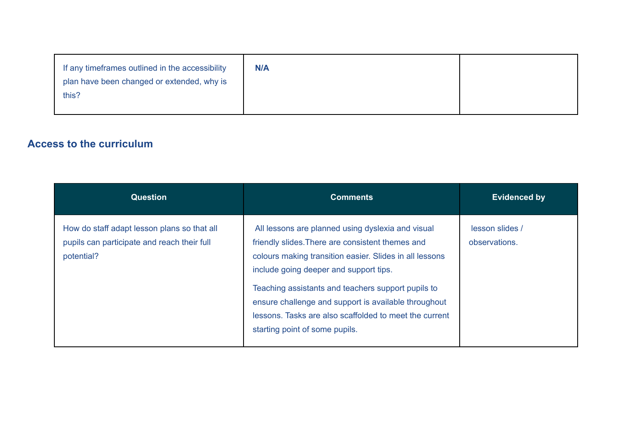| If any timeframes outlined in the accessibility<br>plan have been changed or extended, why is<br>this? | <b>N/A</b> |  |
|--------------------------------------------------------------------------------------------------------|------------|--|
|                                                                                                        |            |  |

#### **Access to the curriculum**

| <b>Question</b>                                                                                          | <b>Comments</b>                                                                                                                                                                                                                                                                                                                                                                                                      | <b>Evidenced by</b>              |
|----------------------------------------------------------------------------------------------------------|----------------------------------------------------------------------------------------------------------------------------------------------------------------------------------------------------------------------------------------------------------------------------------------------------------------------------------------------------------------------------------------------------------------------|----------------------------------|
| How do staff adapt lesson plans so that all<br>pupils can participate and reach their full<br>potential? | All lessons are planned using dyslexia and visual<br>friendly slides. There are consistent themes and<br>colours making transition easier. Slides in all lessons<br>include going deeper and support tips.<br>Teaching assistants and teachers support pupils to<br>ensure challenge and support is available throughout<br>lessons. Tasks are also scaffolded to meet the current<br>starting point of some pupils. | lesson slides /<br>observations. |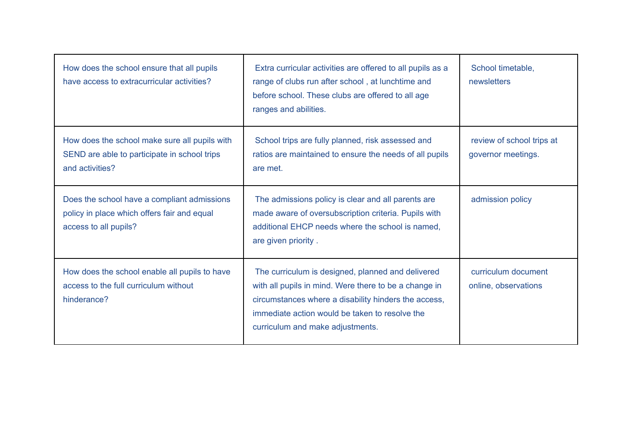| How does the school ensure that all pupils<br>have access to extracurricular activities?                            | Extra curricular activities are offered to all pupils as a<br>range of clubs run after school, at lunchtime and<br>before school. These clubs are offered to all age<br>ranges and abilities.                                                            | School timetable,<br>newsletters                |
|---------------------------------------------------------------------------------------------------------------------|----------------------------------------------------------------------------------------------------------------------------------------------------------------------------------------------------------------------------------------------------------|-------------------------------------------------|
| How does the school make sure all pupils with<br>SEND are able to participate in school trips<br>and activities?    | School trips are fully planned, risk assessed and<br>ratios are maintained to ensure the needs of all pupils<br>are met.                                                                                                                                 | review of school trips at<br>governor meetings. |
| Does the school have a compliant admissions<br>policy in place which offers fair and equal<br>access to all pupils? | The admissions policy is clear and all parents are<br>made aware of oversubscription criteria. Pupils with<br>additional EHCP needs where the school is named,<br>are given priority.                                                                    | admission policy                                |
| How does the school enable all pupils to have<br>access to the full curriculum without<br>hinderance?               | The curriculum is designed, planned and delivered<br>with all pupils in mind. Were there to be a change in<br>circumstances where a disability hinders the access,<br>immediate action would be taken to resolve the<br>curriculum and make adjustments. | curriculum document<br>online, observations     |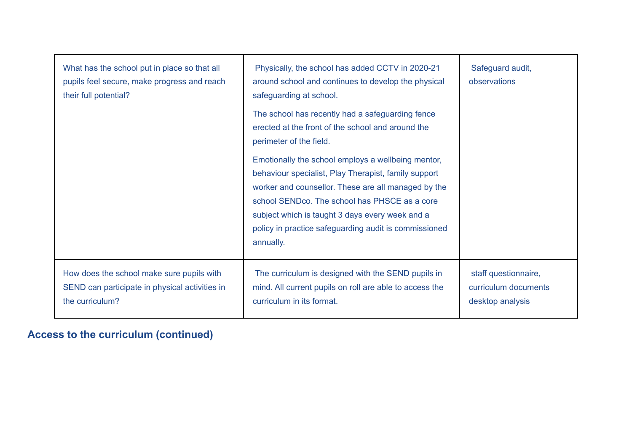| What has the school put in place so that all<br>pupils feel secure, make progress and reach<br>their full potential? | Physically, the school has added CCTV in 2020-21<br>around school and continues to develop the physical<br>safeguarding at school.                                                                                                                                                                                                          | Safeguard audit,<br>observations                                 |
|----------------------------------------------------------------------------------------------------------------------|---------------------------------------------------------------------------------------------------------------------------------------------------------------------------------------------------------------------------------------------------------------------------------------------------------------------------------------------|------------------------------------------------------------------|
|                                                                                                                      | The school has recently had a safeguarding fence<br>erected at the front of the school and around the<br>perimeter of the field.                                                                                                                                                                                                            |                                                                  |
|                                                                                                                      | Emotionally the school employs a wellbeing mentor,<br>behaviour specialist, Play Therapist, family support<br>worker and counsellor. These are all managed by the<br>school SENDco. The school has PHSCE as a core<br>subject which is taught 3 days every week and a<br>policy in practice safeguarding audit is commissioned<br>annually. |                                                                  |
| How does the school make sure pupils with<br>SEND can participate in physical activities in<br>the curriculum?       | The curriculum is designed with the SEND pupils in<br>mind. All current pupils on roll are able to access the<br>curriculum in its format.                                                                                                                                                                                                  | staff questionnaire,<br>curriculum documents<br>desktop analysis |

# **Access to the curriculum (continued)**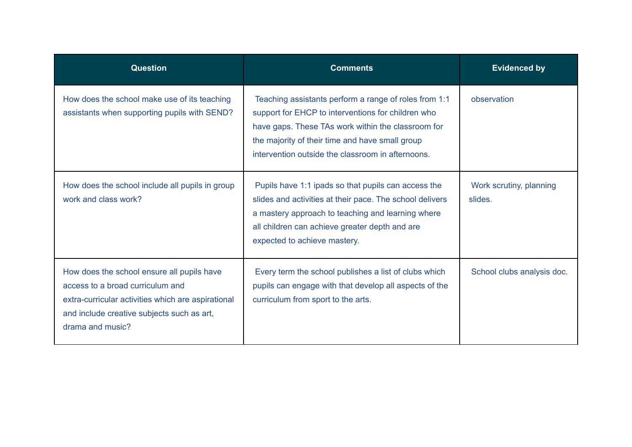| <b>Question</b>                                                                                                                                                                                        | <b>Comments</b>                                                                                                                                                                                                                                                           | <b>Evidenced by</b>                |
|--------------------------------------------------------------------------------------------------------------------------------------------------------------------------------------------------------|---------------------------------------------------------------------------------------------------------------------------------------------------------------------------------------------------------------------------------------------------------------------------|------------------------------------|
| How does the school make use of its teaching<br>assistants when supporting pupils with SEND?                                                                                                           | Teaching assistants perform a range of roles from 1:1<br>support for EHCP to interventions for children who<br>have gaps. These TAs work within the classroom for<br>the majority of their time and have small group<br>intervention outside the classroom in afternoons. | observation                        |
| How does the school include all pupils in group<br>work and class work?                                                                                                                                | Pupils have 1:1 ipads so that pupils can access the<br>slides and activities at their pace. The school delivers<br>a mastery approach to teaching and learning where<br>all children can achieve greater depth and are<br>expected to achieve mastery.                    | Work scrutiny, planning<br>slides. |
| How does the school ensure all pupils have<br>access to a broad curriculum and<br>extra-curricular activities which are aspirational<br>and include creative subjects such as art,<br>drama and music? | Every term the school publishes a list of clubs which<br>pupils can engage with that develop all aspects of the<br>curriculum from sport to the arts.                                                                                                                     | School clubs analysis doc.         |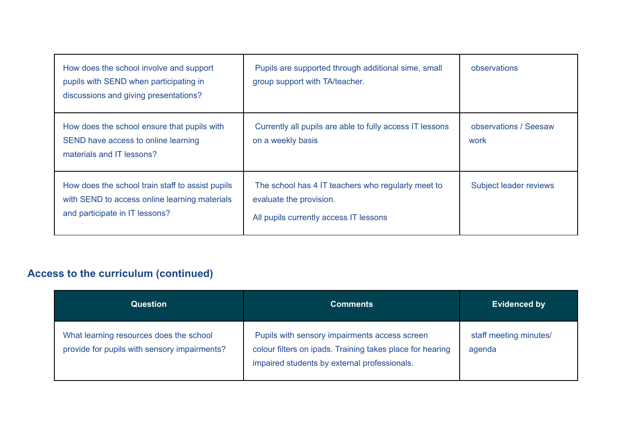| How does the school involve and support<br>pupils with SEND when participating in<br>discussions and giving presentations?          | Pupils are supported through additional sime, small<br>group support with TA/teacher.                                   | observations                  |
|-------------------------------------------------------------------------------------------------------------------------------------|-------------------------------------------------------------------------------------------------------------------------|-------------------------------|
| How does the school ensure that pupils with<br>SEND have access to online learning<br>materials and IT lessons?                     | Currently all pupils are able to fully access IT lessons<br>on a weekly basis                                           | observations / Seesaw<br>work |
| How does the school train staff to assist pupils<br>with SEND to access online learning materials<br>and participate in IT lessons? | The school has 4 IT teachers who regularly meet to<br>evaluate the provision.<br>All pupils currently access IT lessons | Subject leader reviews        |

# **Access to the curriculum (continued)**

| <b>Question</b>                                                                         | <b>Comments</b>                                                                                                                                            | <b>Evidenced by</b>              |
|-----------------------------------------------------------------------------------------|------------------------------------------------------------------------------------------------------------------------------------------------------------|----------------------------------|
| What learning resources does the school<br>provide for pupils with sensory impairments? | Pupils with sensory impairments access screen<br>colour filters on ipads. Training takes place for hearing<br>impaired students by external professionals. | staff meeting minutes/<br>agenda |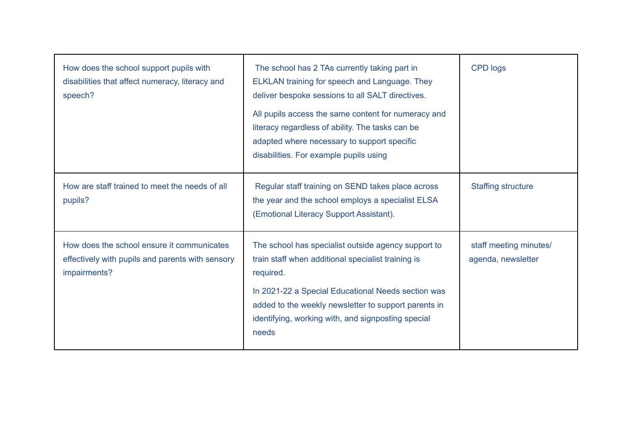| How does the school support pupils with<br>disabilities that affect numeracy, literacy and<br>speech?          | The school has 2 TAs currently taking part in<br>ELKLAN training for speech and Language. They<br>deliver bespoke sessions to all SALT directives.<br>All pupils access the same content for numeracy and<br>literacy regardless of ability. The tasks can be<br>adapted where necessary to support specific<br>disabilities. For example pupils using | <b>CPD logs</b>                              |
|----------------------------------------------------------------------------------------------------------------|--------------------------------------------------------------------------------------------------------------------------------------------------------------------------------------------------------------------------------------------------------------------------------------------------------------------------------------------------------|----------------------------------------------|
| How are staff trained to meet the needs of all<br>pupils?                                                      | Regular staff training on SEND takes place across<br>the year and the school employs a specialist ELSA<br>(Emotional Literacy Support Assistant).                                                                                                                                                                                                      | <b>Staffing structure</b>                    |
| How does the school ensure it communicates<br>effectively with pupils and parents with sensory<br>impairments? | The school has specialist outside agency support to<br>train staff when additional specialist training is<br>required.<br>In 2021-22 a Special Educational Needs section was<br>added to the weekly newsletter to support parents in<br>identifying, working with, and signposting special<br>needs                                                    | staff meeting minutes/<br>agenda, newsletter |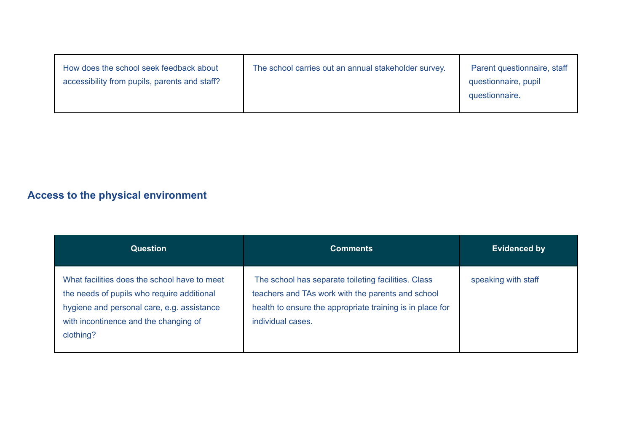| How does the school seek feedback about<br>accessibility from pupils, parents and staff? | The school carries out an annual stakeholder survey. | Parent questionnaire, staff<br>questionnaire, pupil<br>questionnaire. |
|------------------------------------------------------------------------------------------|------------------------------------------------------|-----------------------------------------------------------------------|
|------------------------------------------------------------------------------------------|------------------------------------------------------|-----------------------------------------------------------------------|

# **Access to the physical environment**

| <b>Question</b>                                                                                                                                                                                | <b>Comments</b>                                                                                                                                                                            | <b>Evidenced by</b> |
|------------------------------------------------------------------------------------------------------------------------------------------------------------------------------------------------|--------------------------------------------------------------------------------------------------------------------------------------------------------------------------------------------|---------------------|
| What facilities does the school have to meet<br>the needs of pupils who require additional<br>hygiene and personal care, e.g. assistance<br>with incontinence and the changing of<br>clothing? | The school has separate toileting facilities. Class<br>teachers and TAs work with the parents and school<br>health to ensure the appropriate training is in place for<br>individual cases. | speaking with staff |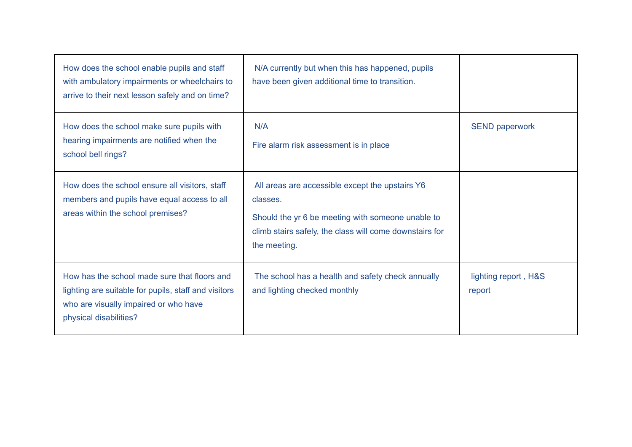| How does the school enable pupils and staff<br>with ambulatory impairments or wheelchairs to<br>arrive to their next lesson safely and on time?                         | N/A currently but when this has happened, pupils<br>have been given additional time to transition.                                                                                          |                                |
|-------------------------------------------------------------------------------------------------------------------------------------------------------------------------|---------------------------------------------------------------------------------------------------------------------------------------------------------------------------------------------|--------------------------------|
| How does the school make sure pupils with<br>hearing impairments are notified when the<br>school bell rings?                                                            | N/A<br>Fire alarm risk assessment is in place                                                                                                                                               | <b>SEND paperwork</b>          |
| How does the school ensure all visitors, staff<br>members and pupils have equal access to all<br>areas within the school premises?                                      | All areas are accessible except the upstairs Y6<br>classes.<br>Should the yr 6 be meeting with someone unable to<br>climb stairs safely, the class will come downstairs for<br>the meeting. |                                |
| How has the school made sure that floors and<br>lighting are suitable for pupils, staff and visitors<br>who are visually impaired or who have<br>physical disabilities? | The school has a health and safety check annually<br>and lighting checked monthly                                                                                                           | lighting report, H&S<br>report |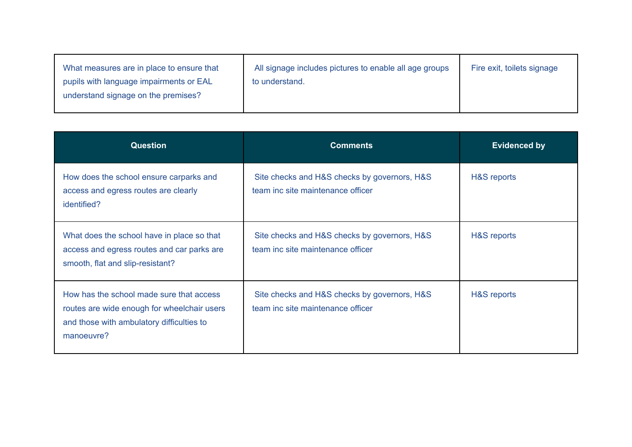| What measures are in place to ensure that<br>pupils with language impairments or EAL<br>understand signage on the premises? | All signage includes pictures to enable all age groups<br>to understand. | Fire exit, toilets signage |
|-----------------------------------------------------------------------------------------------------------------------------|--------------------------------------------------------------------------|----------------------------|
|-----------------------------------------------------------------------------------------------------------------------------|--------------------------------------------------------------------------|----------------------------|

| <b>Question</b>                                                                                                                                    | <b>Comments</b>                                                                   | <b>Evidenced by</b> |
|----------------------------------------------------------------------------------------------------------------------------------------------------|-----------------------------------------------------------------------------------|---------------------|
| How does the school ensure carparks and<br>access and egress routes are clearly<br>identified?                                                     | Site checks and H&S checks by governors, H&S<br>team inc site maintenance officer | H&S reports         |
| What does the school have in place so that<br>access and egress routes and car parks are<br>smooth, flat and slip-resistant?                       | Site checks and H&S checks by governors, H&S<br>team inc site maintenance officer | H&S reports         |
| How has the school made sure that access<br>routes are wide enough for wheelchair users<br>and those with ambulatory difficulties to<br>manoeuvre? | Site checks and H&S checks by governors, H&S<br>team inc site maintenance officer | H&S reports         |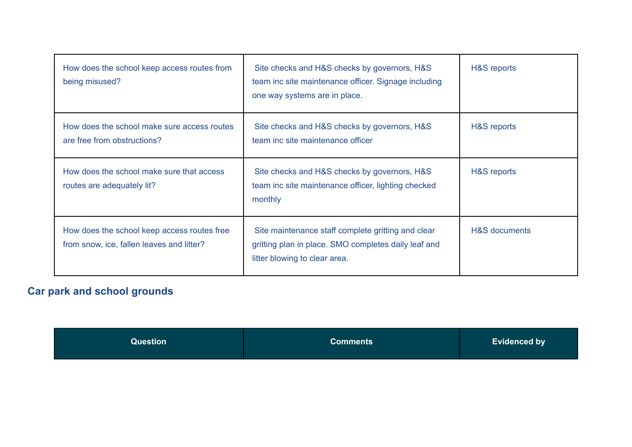| How does the school keep access routes from<br>being misused?                            | Site checks and H&S checks by governors, H&S<br>team inc site maintenance officer. Signage including<br>one way systems are in place.       | H&S reports              |
|------------------------------------------------------------------------------------------|---------------------------------------------------------------------------------------------------------------------------------------------|--------------------------|
| How does the school make sure access routes<br>are free from obstructions?               | Site checks and H&S checks by governors, H&S<br>team inc site maintenance officer                                                           | H&S reports              |
| How does the school make sure that access<br>routes are adequately lit?                  | Site checks and H&S checks by governors, H&S<br>team inc site maintenance officer, lighting checked<br>monthly                              | H&S reports              |
| How does the school keep access routes free<br>from snow, ice, fallen leaves and litter? | Site maintenance staff complete gritting and clear<br>gritting plan in place. SMO completes daily leaf and<br>litter blowing to clear area. | <b>H&amp;S</b> documents |

# **Car park and school grounds**

| Question <sup>1</sup> | <b>Comments</b> | <b>Evidenced by</b> |
|-----------------------|-----------------|---------------------|
|                       |                 |                     |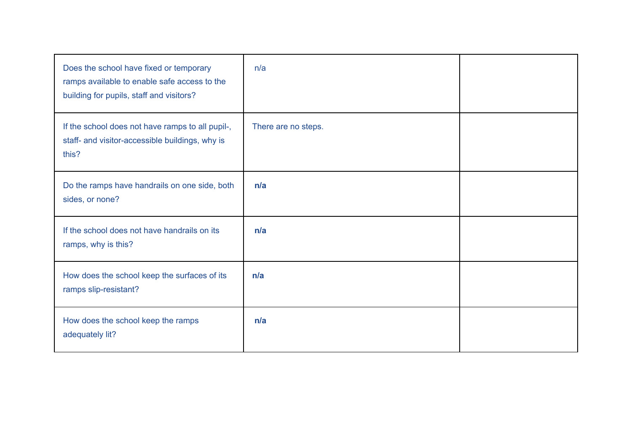| Does the school have fixed or temporary<br>ramps available to enable safe access to the<br>building for pupils, staff and visitors? | n/a                 |  |
|-------------------------------------------------------------------------------------------------------------------------------------|---------------------|--|
| If the school does not have ramps to all pupil-,<br>staff- and visitor-accessible buildings, why is<br>this?                        | There are no steps. |  |
| Do the ramps have handrails on one side, both<br>sides, or none?                                                                    | n/a                 |  |
| If the school does not have handrails on its<br>ramps, why is this?                                                                 | n/a                 |  |
| How does the school keep the surfaces of its<br>ramps slip-resistant?                                                               | n/a                 |  |
| How does the school keep the ramps<br>adequately lit?                                                                               | n/a                 |  |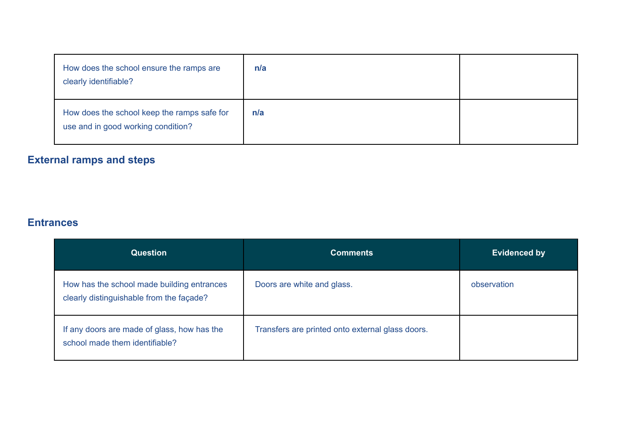| How does the school ensure the ramps are<br>clearly identifiable?                 | n/a |  |
|-----------------------------------------------------------------------------------|-----|--|
| How does the school keep the ramps safe for<br>use and in good working condition? | n/a |  |

# **External ramps and steps**

#### **Entrances**

| <b>Question</b>                                                                        | <b>Comments</b>                                  | <b>Evidenced by</b> |
|----------------------------------------------------------------------------------------|--------------------------------------------------|---------------------|
| How has the school made building entrances<br>clearly distinguishable from the façade? | Doors are white and glass.                       | observation         |
| If any doors are made of glass, how has the<br>school made them identifiable?          | Transfers are printed onto external glass doors. |                     |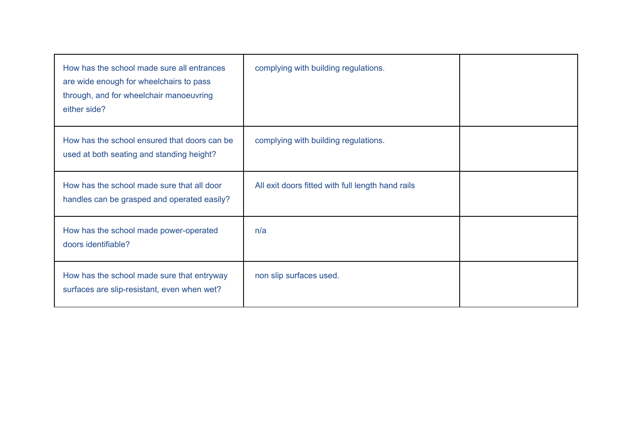| How has the school made sure all entrances<br>are wide enough for wheelchairs to pass<br>through, and for wheelchair manoeuvring<br>either side? | complying with building regulations.              |  |
|--------------------------------------------------------------------------------------------------------------------------------------------------|---------------------------------------------------|--|
| How has the school ensured that doors can be<br>used at both seating and standing height?                                                        | complying with building regulations.              |  |
| How has the school made sure that all door<br>handles can be grasped and operated easily?                                                        | All exit doors fitted with full length hand rails |  |
| How has the school made power-operated<br>doors identifiable?                                                                                    | n/a                                               |  |
| How has the school made sure that entryway<br>surfaces are slip-resistant, even when wet?                                                        | non slip surfaces used.                           |  |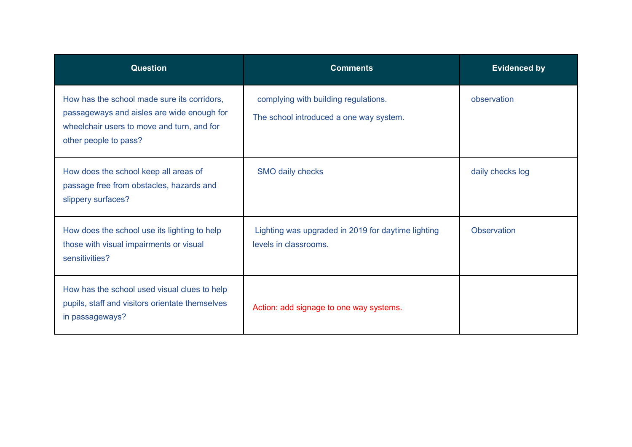| <b>Question</b>                                                                                                                                                  | <b>Comments</b>                                                                 | <b>Evidenced by</b> |
|------------------------------------------------------------------------------------------------------------------------------------------------------------------|---------------------------------------------------------------------------------|---------------------|
| How has the school made sure its corridors,<br>passageways and aisles are wide enough for<br>wheelchair users to move and turn, and for<br>other people to pass? | complying with building regulations.<br>The school introduced a one way system. | observation         |
| How does the school keep all areas of<br>passage free from obstacles, hazards and<br>slippery surfaces?                                                          | SMO daily checks                                                                | daily checks log    |
| How does the school use its lighting to help<br>those with visual impairments or visual<br>sensitivities?                                                        | Lighting was upgraded in 2019 for daytime lighting<br>levels in classrooms.     | <b>Observation</b>  |
| How has the school used visual clues to help<br>pupils, staff and visitors orientate themselves<br>in passageways?                                               | Action: add signage to one way systems.                                         |                     |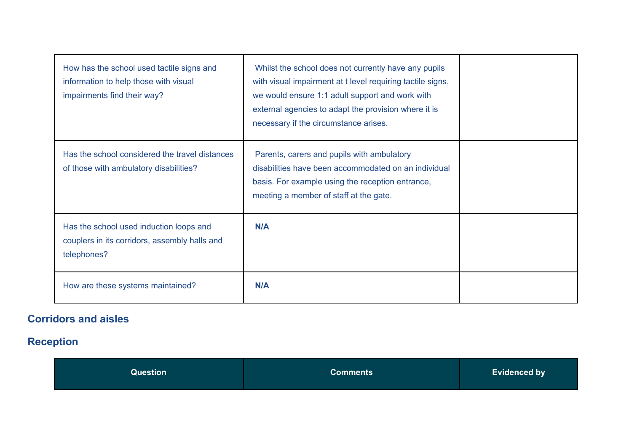| How has the school used tactile signs and<br>information to help those with visual<br>impairments find their way? | Whilst the school does not currently have any pupils<br>with visual impairment at t level requiring tactile signs,<br>we would ensure 1:1 adult support and work with<br>external agencies to adapt the provision where it is<br>necessary if the circumstance arises. |  |
|-------------------------------------------------------------------------------------------------------------------|------------------------------------------------------------------------------------------------------------------------------------------------------------------------------------------------------------------------------------------------------------------------|--|
| Has the school considered the travel distances<br>of those with ambulatory disabilities?                          | Parents, carers and pupils with ambulatory<br>disabilities have been accommodated on an individual<br>basis. For example using the reception entrance,<br>meeting a member of staff at the gate.                                                                       |  |
| Has the school used induction loops and<br>couplers in its corridors, assembly halls and<br>telephones?           | N/A                                                                                                                                                                                                                                                                    |  |
| How are these systems maintained?                                                                                 | <b>N/A</b>                                                                                                                                                                                                                                                             |  |

# **Corridors and aisles**

# **Reception**

| Question | Comments | <b>Evidenced by</b> |
|----------|----------|---------------------|
|----------|----------|---------------------|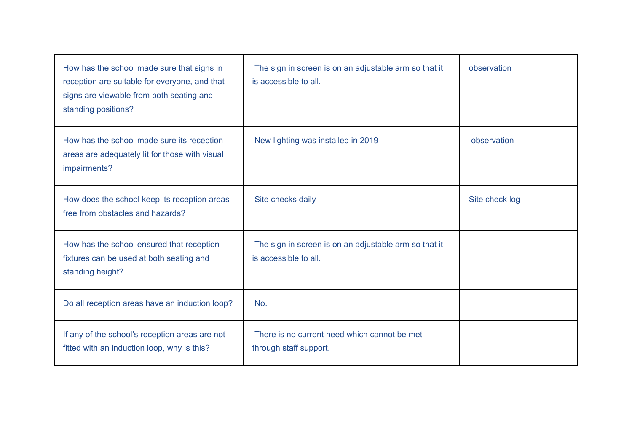| How has the school made sure that signs in<br>reception are suitable for everyone, and that<br>signs are viewable from both seating and<br>standing positions? | The sign in screen is on an adjustable arm so that it<br>is accessible to all. | observation    |
|----------------------------------------------------------------------------------------------------------------------------------------------------------------|--------------------------------------------------------------------------------|----------------|
| How has the school made sure its reception<br>areas are adequately lit for those with visual<br>impairments?                                                   | New lighting was installed in 2019                                             | observation    |
| How does the school keep its reception areas<br>free from obstacles and hazards?                                                                               | Site checks daily                                                              | Site check log |
| How has the school ensured that reception<br>fixtures can be used at both seating and<br>standing height?                                                      | The sign in screen is on an adjustable arm so that it<br>is accessible to all. |                |
| Do all reception areas have an induction loop?                                                                                                                 | No.                                                                            |                |
| If any of the school's reception areas are not<br>fitted with an induction loop, why is this?                                                                  | There is no current need which cannot be met<br>through staff support.         |                |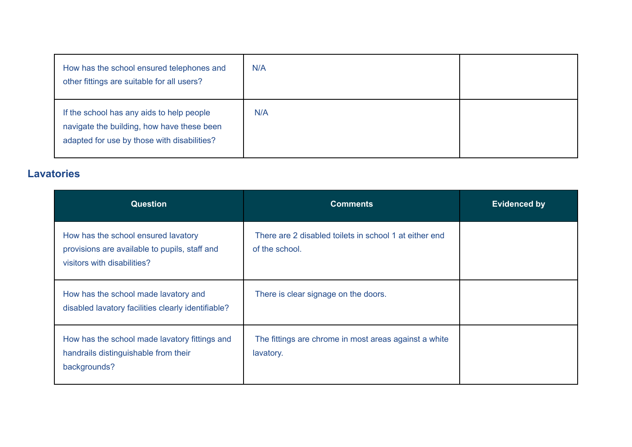| How has the school ensured telephones and<br>other fittings are suitable for all users?                                                | N/A |  |
|----------------------------------------------------------------------------------------------------------------------------------------|-----|--|
| If the school has any aids to help people<br>navigate the building, how have these been<br>adapted for use by those with disabilities? | N/A |  |

#### **Lavatories**

| <b>Question</b>                                                                                                     | <b>Comments</b>                                                          | <b>Evidenced by</b> |
|---------------------------------------------------------------------------------------------------------------------|--------------------------------------------------------------------------|---------------------|
| How has the school ensured lavatory<br>provisions are available to pupils, staff and<br>visitors with disabilities? | There are 2 disabled toilets in school 1 at either end<br>of the school. |                     |
| How has the school made lavatory and<br>disabled lavatory facilities clearly identifiable?                          | There is clear signage on the doors.                                     |                     |
| How has the school made lavatory fittings and<br>handrails distinguishable from their<br>backgrounds?               | The fittings are chrome in most areas against a white<br>lavatory.       |                     |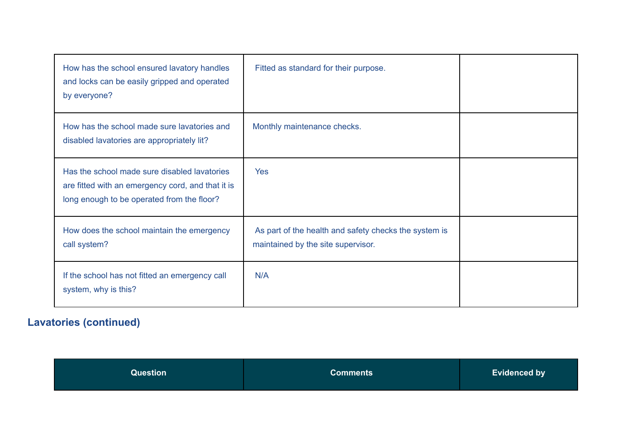| How has the school ensured lavatory handles<br>and locks can be easily gripped and operated<br>by everyone?                                     | Fitted as standard for their purpose.                                                       |  |
|-------------------------------------------------------------------------------------------------------------------------------------------------|---------------------------------------------------------------------------------------------|--|
| How has the school made sure lavatories and<br>disabled lavatories are appropriately lit?                                                       | Monthly maintenance checks.                                                                 |  |
| Has the school made sure disabled lavatories<br>are fitted with an emergency cord, and that it is<br>long enough to be operated from the floor? | Yes.                                                                                        |  |
| How does the school maintain the emergency<br>call system?                                                                                      | As part of the health and safety checks the system is<br>maintained by the site supervisor. |  |
| If the school has not fitted an emergency call<br>system, why is this?                                                                          | N/A                                                                                         |  |

# **Lavatories (continued)**

| <b>Evidenced by</b><br>Question<br><b>Comments</b> |
|----------------------------------------------------|
|----------------------------------------------------|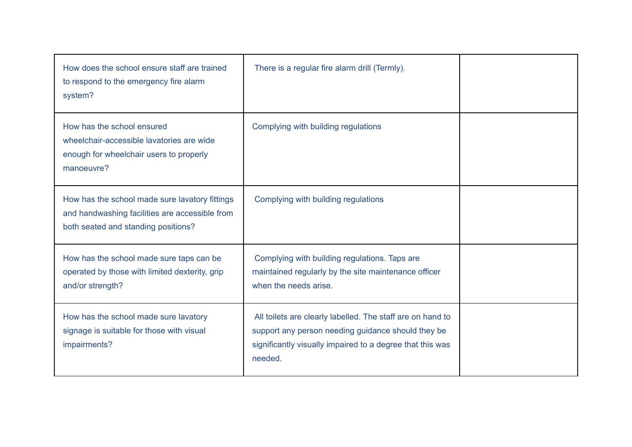| How does the school ensure staff are trained<br>to respond to the emergency fire alarm<br>system?                                       | There is a regular fire alarm drill (Termly).                                                                                                                                            |  |
|-----------------------------------------------------------------------------------------------------------------------------------------|------------------------------------------------------------------------------------------------------------------------------------------------------------------------------------------|--|
| How has the school ensured<br>wheelchair-accessible lavatories are wide<br>enough for wheelchair users to properly<br>manoeuvre?        | Complying with building regulations                                                                                                                                                      |  |
| How has the school made sure lavatory fittings<br>and handwashing facilities are accessible from<br>both seated and standing positions? | Complying with building regulations                                                                                                                                                      |  |
| How has the school made sure taps can be<br>operated by those with limited dexterity, grip<br>and/or strength?                          | Complying with building regulations. Taps are<br>maintained regularly by the site maintenance officer<br>when the needs arise.                                                           |  |
| How has the school made sure lavatory<br>signage is suitable for those with visual<br>impairments?                                      | All toilets are clearly labelled. The staff are on hand to<br>support any person needing guidance should they be<br>significantly visually impaired to a degree that this was<br>needed. |  |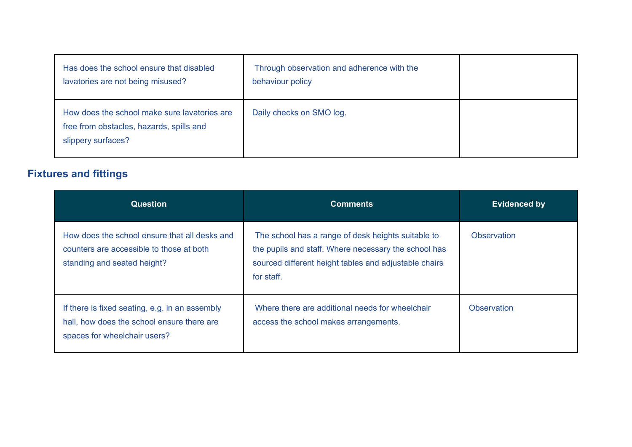| Has does the school ensure that disabled<br>lavatories are not being misused?                                  | Through observation and adherence with the<br>behaviour policy |  |
|----------------------------------------------------------------------------------------------------------------|----------------------------------------------------------------|--|
| How does the school make sure lavatories are<br>free from obstacles, hazards, spills and<br>slippery surfaces? | Daily checks on SMO log.                                       |  |

## **Fixtures and fittings**

| <b>Question</b>                                                                                                              | <b>Comments</b>                                                                                                                                                                   | <b>Evidenced by</b> |
|------------------------------------------------------------------------------------------------------------------------------|-----------------------------------------------------------------------------------------------------------------------------------------------------------------------------------|---------------------|
| How does the school ensure that all desks and<br>counters are accessible to those at both<br>standing and seated height?     | The school has a range of desk heights suitable to<br>the pupils and staff. Where necessary the school has<br>sourced different height tables and adjustable chairs<br>for staff. | <b>Observation</b>  |
| If there is fixed seating, e.g. in an assembly<br>hall, how does the school ensure there are<br>spaces for wheelchair users? | Where there are additional needs for wheelchair<br>access the school makes arrangements.                                                                                          | <b>Observation</b>  |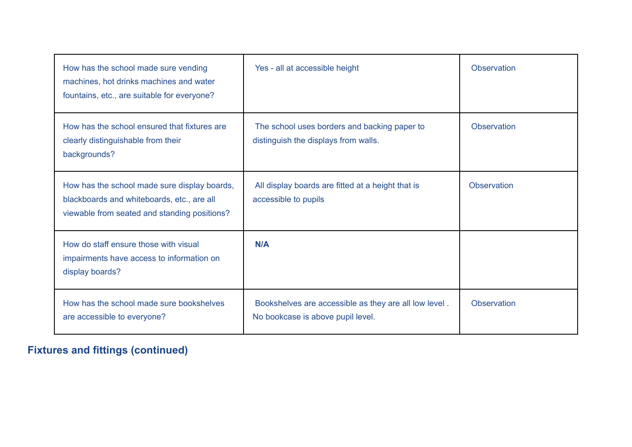| How has the school made sure vending<br>machines, hot drinks machines and water<br>fountains, etc., are suitable for everyone?             | Yes - all at accessible height                                                             | Observation        |
|--------------------------------------------------------------------------------------------------------------------------------------------|--------------------------------------------------------------------------------------------|--------------------|
| How has the school ensured that fixtures are<br>clearly distinguishable from their<br>backgrounds?                                         | The school uses borders and backing paper to<br>distinguish the displays from walls.       | <b>Observation</b> |
| How has the school made sure display boards,<br>blackboards and whiteboards, etc., are all<br>viewable from seated and standing positions? | All display boards are fitted at a height that is<br>accessible to pupils                  | <b>Observation</b> |
| How do staff ensure those with visual<br>impairments have access to information on<br>display boards?                                      | N/A                                                                                        |                    |
| How has the school made sure bookshelves<br>are accessible to everyone?                                                                    | Bookshelves are accessible as they are all low level.<br>No bookcase is above pupil level. | <b>Observation</b> |

# **Fixtures and fittings (continued)**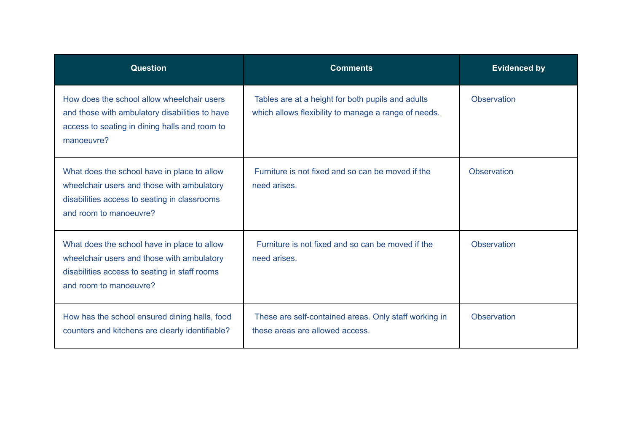| <b>Question</b>                                                                                                                                                      | <b>Comments</b>                                                                                           | <b>Evidenced by</b> |
|----------------------------------------------------------------------------------------------------------------------------------------------------------------------|-----------------------------------------------------------------------------------------------------------|---------------------|
| How does the school allow wheelchair users<br>and those with ambulatory disabilities to have<br>access to seating in dining halls and room to<br>manoeuvre?          | Tables are at a height for both pupils and adults<br>which allows flexibility to manage a range of needs. | Observation         |
| What does the school have in place to allow<br>wheelchair users and those with ambulatory<br>disabilities access to seating in classrooms<br>and room to manoeuvre?  | Furniture is not fixed and so can be moved if the<br>need arises.                                         | <b>Observation</b>  |
| What does the school have in place to allow<br>wheelchair users and those with ambulatory<br>disabilities access to seating in staff rooms<br>and room to manoeuvre? | Furniture is not fixed and so can be moved if the<br>need arises.                                         | <b>Observation</b>  |
| How has the school ensured dining halls, food<br>counters and kitchens are clearly identifiable?                                                                     | These are self-contained areas. Only staff working in<br>these areas are allowed access.                  | <b>Observation</b>  |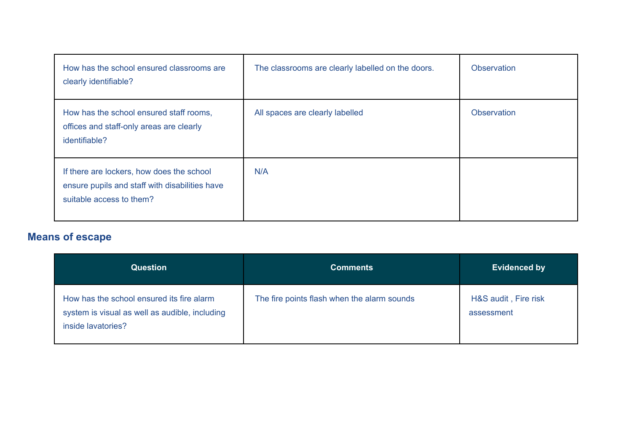| How has the school ensured classrooms are<br>clearly identifiable?                                                      | The classrooms are clearly labelled on the doors. | <b>Observation</b> |
|-------------------------------------------------------------------------------------------------------------------------|---------------------------------------------------|--------------------|
| How has the school ensured staff rooms,<br>offices and staff-only areas are clearly<br>identifiable?                    | All spaces are clearly labelled                   | <b>Observation</b> |
| If there are lockers, how does the school<br>ensure pupils and staff with disabilities have<br>suitable access to them? | N/A                                               |                    |

# **Means of escape**

| <b>Question</b>                                                                                                   | <b>Comments</b>                             | <b>Evidenced by</b>                |
|-------------------------------------------------------------------------------------------------------------------|---------------------------------------------|------------------------------------|
| How has the school ensured its fire alarm<br>system is visual as well as audible, including<br>inside lavatories? | The fire points flash when the alarm sounds | H&S audit, Fire risk<br>assessment |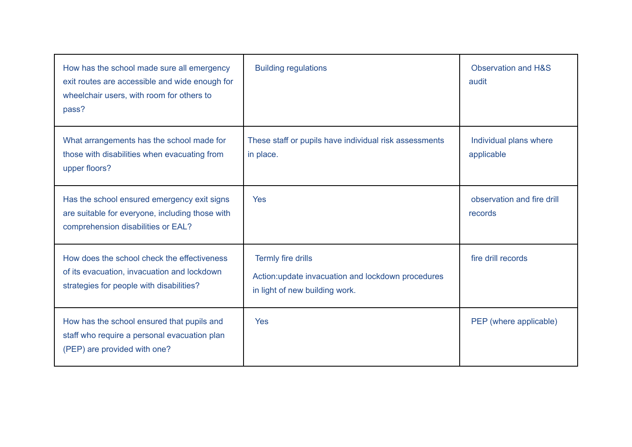| How has the school made sure all emergency<br>exit routes are accessible and wide enough for<br>wheelchair users, with room for others to<br>pass? | <b>Building regulations</b>                                                                                | <b>Observation and H&amp;S</b><br>audit |
|----------------------------------------------------------------------------------------------------------------------------------------------------|------------------------------------------------------------------------------------------------------------|-----------------------------------------|
| What arrangements has the school made for<br>those with disabilities when evacuating from<br>upper floors?                                         | These staff or pupils have individual risk assessments<br>in place.                                        | Individual plans where<br>applicable    |
| Has the school ensured emergency exit signs<br>are suitable for everyone, including those with<br>comprehension disabilities or EAL?               | <b>Yes</b>                                                                                                 | observation and fire drill<br>records   |
| How does the school check the effectiveness<br>of its evacuation, invacuation and lockdown<br>strategies for people with disabilities?             | Termly fire drills<br>Action: update invacuation and lockdown procedures<br>in light of new building work. | fire drill records                      |
| How has the school ensured that pupils and<br>staff who require a personal evacuation plan<br>(PEP) are provided with one?                         | <b>Yes</b>                                                                                                 | PEP (where applicable)                  |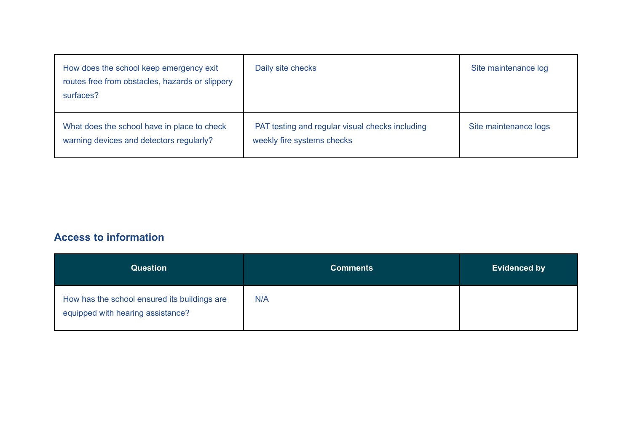| How does the school keep emergency exit<br>routes free from obstacles, hazards or slippery<br>surfaces? | Daily site checks                                                             | Site maintenance log  |
|---------------------------------------------------------------------------------------------------------|-------------------------------------------------------------------------------|-----------------------|
| What does the school have in place to check<br>warning devices and detectors regularly?                 | PAT testing and regular visual checks including<br>weekly fire systems checks | Site maintenance logs |

## **Access to information**

| <b>Question</b>                                                                   | <b>Comments</b> | <b>Evidenced by</b> |
|-----------------------------------------------------------------------------------|-----------------|---------------------|
| How has the school ensured its buildings are<br>equipped with hearing assistance? | N/A             |                     |